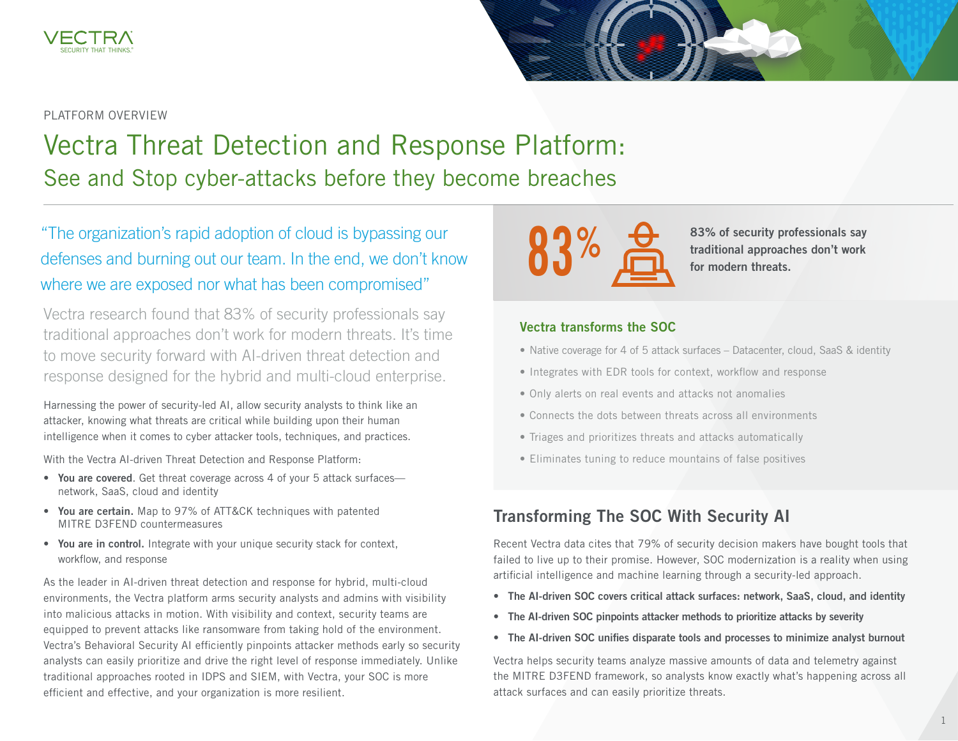

#### PLATFORM OVERVIEW

# Vectra Threat Detection and Response Platform: See and Stop cyber-attacks before they become breaches

"The organization's rapid adoption of cloud is bypassing our defenses and burning out our team. In the end, we don't know where we are exposed nor what has been compromised"

Vectra research found that 83% of security professionals say traditional approaches don't work for modern threats. It's time to move security forward with AI-driven threat detection and response designed for the hybrid and multi-cloud enterprise.

Harnessing the power of security-led AI, allow security analysts to think like an attacker, knowing what threats are critical while building upon their human intelligence when it comes to cyber attacker tools, techniques, and practices.

With the Vectra AI-driven Threat Detection and Response Platform:

- You are covered. Get threat coverage across 4 of your 5 attack surfacesnetwork, SaaS, cloud and identity
- You are certain. Map to 97% of ATT&CK techniques with patented MITRE D3FEND countermeasures
- You are in control. Integrate with your unique security stack for context, workflow, and response

As the leader in AI-driven threat detection and response for hybrid, multi-cloud environments, the Vectra platform arms security analysts and admins with visibility into malicious attacks in motion. With visibility and context, security teams are equipped to prevent attacks like ransomware from taking hold of the environment. Vectra's Behavioral Security AI efficiently pinpoints attacker methods early so security analysts can easily prioritize and drive the right level of response immediately. Unlike traditional approaches rooted in IDPS and SIEM, with Vectra, your SOC is more efficient and effective, and your organization is more resilient.



83% of security professionals say traditional approaches don't work for modern threats.

#### Vectra transforms the SOC

- Native coverage for 4 of 5 attack surfaces Datacenter, cloud, SaaS & identity
- Integrates with EDR tools for context, workflow and response
- Only alerts on real events and attacks not anomalies
- Connects the dots between threats across all environments
- Triages and prioritizes threats and attacks automatically
- Eliminates tuning to reduce mountains of false positives

### Transforming The SOC With Security AI

Recent Vectra data cites that 79% of security decision makers have bought tools that failed to live up to their promise. However, SOC modernization is a reality when using artificial intelligence and machine learning through a security-led approach.

- The AI-driven SOC covers critical attack surfaces: network, SaaS, cloud, and identity
- The AI-driven SOC pinpoints attacker methods to prioritize attacks by severity
- The AI-driven SOC unifies disparate tools and processes to minimize analyst burnout

Vectra helps security teams analyze massive amounts of data and telemetry against the MITRE D3FEND framework, so analysts know exactly what's happening across all attack surfaces and can easily prioritize threats.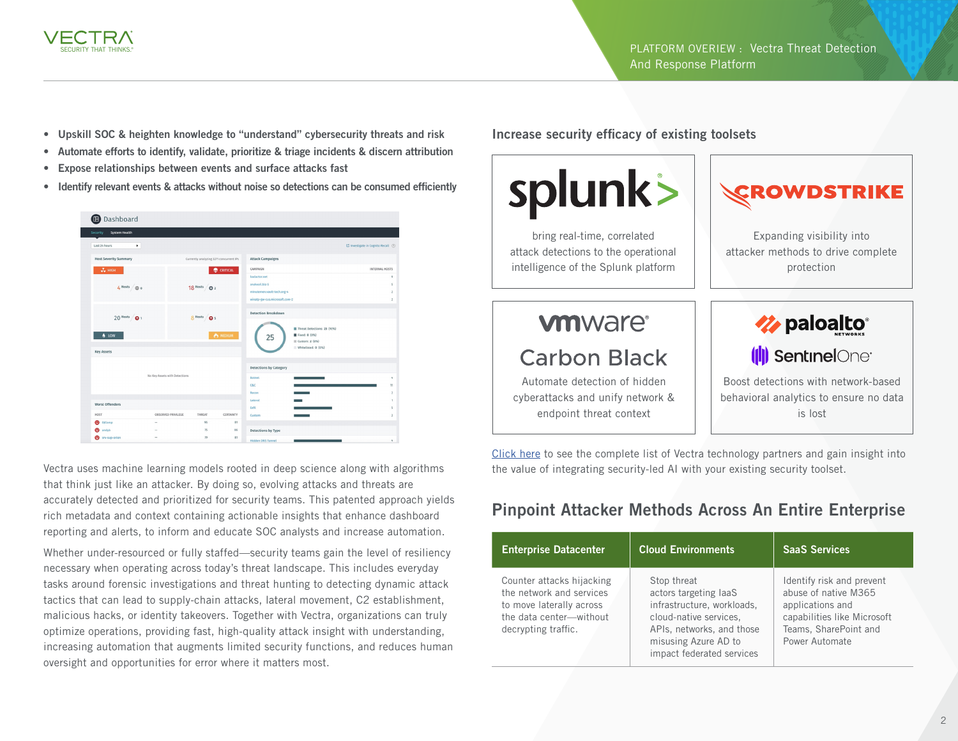

- Upskill SOC & heighten knowledge to "understand" cybersecurity threats and risk
- Automate efforts to identify, validate, prioritize & triage incidents & discern attribution
- Expose relationships between events and surface attacks fast
- Identify relevant events & attacks without noise so detections can be consumed efficiently



Vectra uses machine learning models rooted in deep science along with algorithms that think just like an attacker. By doing so, evolving attacks and threats are accurately detected and prioritized for security teams. This patented approach yields rich metadata and context containing actionable insights that enhance dashboard reporting and alerts, to inform and educate SOC analysts and increase automation.

Whether under-resourced or fully staffed—security teams gain the level of resiliency necessary when operating across today's threat landscape. This includes everyday tasks around forensic investigations and threat hunting to detecting dynamic attack tactics that can lead to supply-chain attacks, lateral movement, C2 establishment, malicious hacks, or identity takeovers. Together with Vectra, organizations can truly optimize operations, providing fast, high-quality attack insight with understanding, increasing automation that augments limited security functions, and reduces human oversight and opportunities for error where it matters most.

Increase security efficacy of existing toolsets



bring real-time, correlated attack detections to the operational intelligence of the Splunk platform

# **vm**ware<sup>®</sup>

## **Carbon Black**

Automate detection of hidden cyberattacks and unify network & endpoint threat context





Boost detections with network-based behavioral analytics to ensure no data is lost

[Click here](https://www.vectra.ai/partners/technology-partners) to see the complete list of Vectra technology partners and gain insight into the value of integrating security-led AI with your existing security toolset.

## Pinpoint Attacker Methods Across An Entire Enterprise

| <b>Enterprise Datacenter</b>                                                                                                        | <b>Cloud Environments</b>                                                                                                                                                      | <b>SaaS Services</b>                                                                                                                            |
|-------------------------------------------------------------------------------------------------------------------------------------|--------------------------------------------------------------------------------------------------------------------------------------------------------------------------------|-------------------------------------------------------------------------------------------------------------------------------------------------|
| Counter attacks hijacking<br>the network and services<br>to move laterally across<br>the data center-without<br>decrypting traffic. | Stop threat<br>actors targeting laaS<br>infrastructure, workloads,<br>cloud-native services,<br>APIs, networks, and those<br>misusing Azure AD to<br>impact federated services | Identify risk and prevent<br>abuse of native M365<br>applications and<br>capabilities like Microsoft<br>Teams, SharePoint and<br>Power Automate |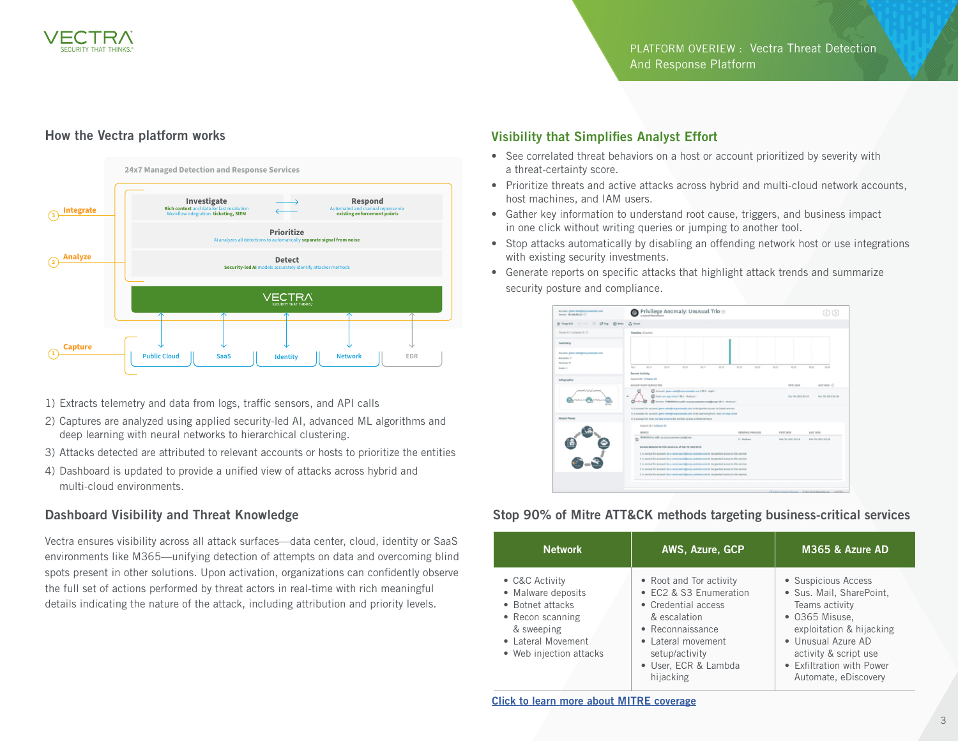

#### How the Vectra platform works



- 1) Extracts telemetry and data from logs, traffic sensors, and API calls
- 2) Captures are analyzed using applied security-led AI, advanced ML algorithms and deep learning with neural networks to hierarchical clustering.
- 3) Attacks detected are attributed to relevant accounts or hosts to prioritize the entities
- 4) Dashboard is updated to provide a unified view of attacks across hybrid and multi-cloud environments.

#### Dashboard Visibility and Threat Knowledge

Vectra ensures visibility across all attack surfaces—data center, cloud, identity or SaaS environments like M365—unifying detection of attempts on data and overcoming blind spots present in other solutions. Upon activation, organizations can confidently observe the full set of actions performed by threat actors in real-time with rich meaningful details indicating the nature of the attack, including attribution and priority levels.

#### Visibility that Simplifies Analyst Effort

- See correlated threat behaviors on a host or account prioritized by severity with a threat-certainty score.
- Prioritize threats and active attacks across hybrid and multi-cloud network accounts, host machines, and IAM users.
- Gather key information to understand root cause, triggers, and business impact in one click without writing queries or jumping to another tool.
- Stop attacks automatically by disabling an offending network host or use integrations with existing security investments.
- Generate reports on specific attacks that highlight attack trends and summarize security posture and compliance.



#### Stop 90% of Mitre ATT&CK methods targeting business-critical services

| <b>Network</b>                                                                                                                              | AWS, Azure, GCP                                                                                                                                                                           | M365 & Azure AD                                                                                                                                                                                                     |
|---------------------------------------------------------------------------------------------------------------------------------------------|-------------------------------------------------------------------------------------------------------------------------------------------------------------------------------------------|---------------------------------------------------------------------------------------------------------------------------------------------------------------------------------------------------------------------|
| • C&C Activity<br>• Malware deposits<br>• Botnet attacks<br>• Recon scanning<br>& sweeping<br>• Lateral Movement<br>• Web injection attacks | • Root and Tor activity<br>• EC2 & S3 Enumeration<br>• Credential access<br>& escalation<br>• Reconnaissance<br>• Lateral movement<br>setup/activity<br>· User, ECR & Lambda<br>hijacking | • Suspicious Access<br>· Sus. Mail, SharePoint,<br>Teams activity<br>• 0365 Misuse,<br>exploitation & hijacking<br>• Unusual Azure AD<br>activity & script use<br>• Exfiltration with Power<br>Automate, eDiscovery |

[Click to learn more about MITRE coverage](https://www.vectra.ai/blogpost/mitre-attack-coverage-vectra-ai-provides-over-90)